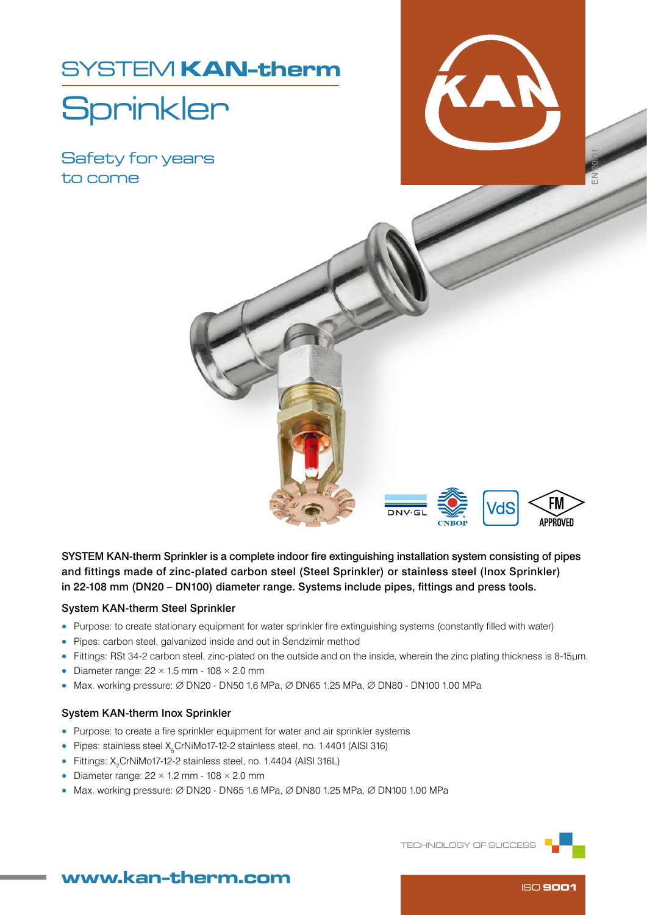SYSTEM KAN-therm

# **Sprinkler**

Safety for years to come



EN 20/01



SYSTEM KAN-therm Sprinkler is a complete indoor fire extinguishing installation system consisting of pipes and fittings made of zinc-plated carbon steel (Steel Sprinkler) or stainless steel (Inox Sprinkler) in 22-108 mm (DN20 – DN100) diameter range. Systems include pipes, fittings and press tools.

#### System KAN-therm Steel Sprinkler

- Purpose: to create stationary equipment for water sprinkler fire extinguishing systems (constantly filled with water)
- Pipes: carbon steel, galvanized inside and out in Sendzimir method
- Fittings: RSt 34-2 carbon steel, zinc-plated on the outside and on the inside, wherein the zinc plating thickness is 8-15μm.
- Diameter range:  $22 \times 1.5$  mm  $108 \times 2.0$  mm
- Max. working pressure:  $\varnothing$  DN20 DN50 1.6 MPa,  $\varnothing$  DN65 1.25 MPa,  $\varnothing$  DN80 DN100 1.00 MPa

#### System KAN-therm Inox Sprinkler

- Purpose: to create a fire sprinkler equipment for water and air sprinkler systems
- Pipes: stainless steel  $X_{5}$ CrNiMo17-12-2 stainless steel, no. 1.4401 (AISI 316)
- Fittings:  $X_2$ CrNiMo17-12-2 stainless steel, no. 1.4404 (AISI 316L)
- Diameter range:  $22 \times 1.2$  mm  $108 \times 2.0$  mm
- Max. working pressure:  $\varnothing$  DN20 DN65 1.6 MPa,  $\varnothing$  DN80 1.25 MPa,  $\varnothing$  DN100 1.00 MPa

TECHNOLOGY OF SUCCESS



## www.kan-therm.com